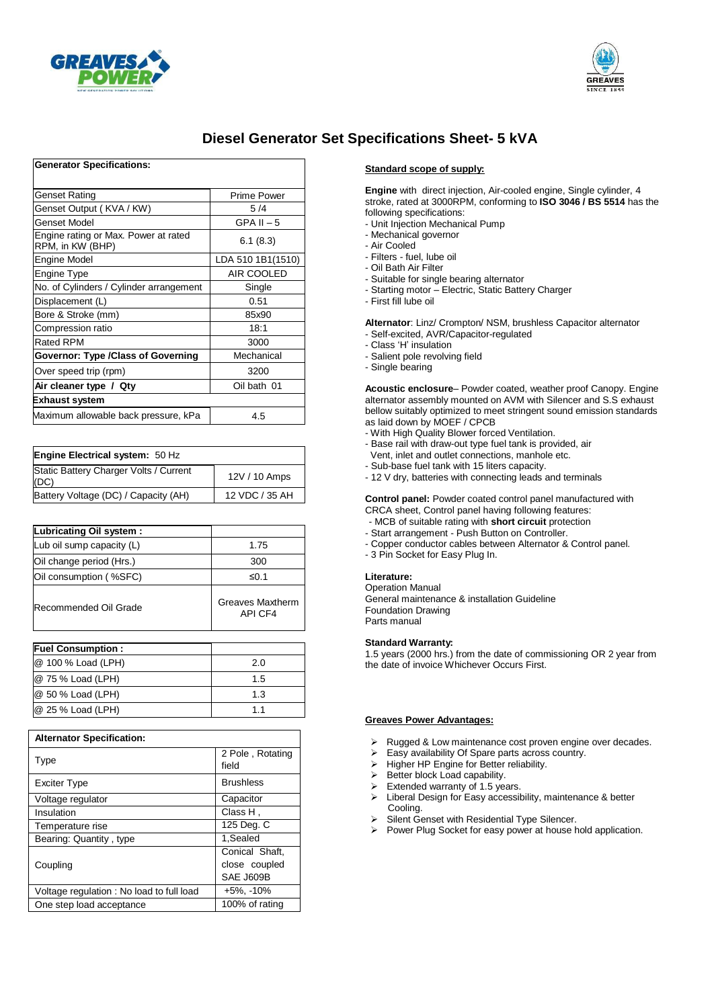



## **Diesel Generator Set Specifications Sheet- 5 kVA**

| <b>Generator Specifications:</b>                         |                    |  |  |
|----------------------------------------------------------|--------------------|--|--|
| Genset Rating                                            | <b>Prime Power</b> |  |  |
| Genset Output (KVA / KW)                                 | 5/4                |  |  |
| Genset Model                                             | $GPA II - 5$       |  |  |
| Engine rating or Max. Power at rated<br>RPM, in KW (BHP) | 6.1(8.3)           |  |  |
| Engine Model                                             | LDA 510 1B1(1510)  |  |  |
| Engine Type                                              | AIR COOLED         |  |  |
| No. of Cylinders / Cylinder arrangement                  | Single             |  |  |
| Displacement (L)                                         | 0.51               |  |  |
| Bore & Stroke (mm)                                       | 85x90              |  |  |
| Compression ratio                                        | 18:1               |  |  |
| Rated RPM                                                | 3000               |  |  |
| Governor: Type /Class of Governing                       | Mechanical         |  |  |
| Over speed trip (rpm)                                    | 3200               |  |  |
| Oil bath 01<br>Air cleaner type / Qty                    |                    |  |  |
| Exhaust system                                           |                    |  |  |
| Maximum allowable back pressure, kPa                     | 4.5                |  |  |

| <b>Engine Electrical system: 50 Hz</b>         |                |
|------------------------------------------------|----------------|
| Static Battery Charger Volts / Current<br>(DC) | 12V / 10 Amps  |
| Battery Voltage (DC) / Capacity (AH)           | 12 VDC / 35 AH |

| Lubricating Oil system :  |                             |
|---------------------------|-----------------------------|
| Lub oil sump capacity (L) | 1.75                        |
| Oil change period (Hrs.)  | 300                         |
| Oil consumption (%SFC)    | ≤0.1                        |
| Recommended Oil Grade     | Greaves Maxtherm<br>API CF4 |

| <b>Fuel Consumption:</b> |     |
|--------------------------|-----|
| @ 100 % Load (LPH)       | 2.0 |
| @ 75 % Load (LPH)        | 1.5 |
| @ 50 % Load (LPH)        | 1.3 |
| $@$ 25 % Load (LPH)      | 11  |

| <b>Alternator Specification:</b>         |                                              |  |  |
|------------------------------------------|----------------------------------------------|--|--|
| Type                                     | 2 Pole, Rotating<br>field                    |  |  |
| <b>Exciter Type</b>                      | <b>Brushless</b>                             |  |  |
| Voltage regulator                        | Capacitor                                    |  |  |
| Insulation                               | Class H,                                     |  |  |
| Temperature rise                         | 125 Deg. C                                   |  |  |
| Bearing: Quantity, type                  | 1,Sealed                                     |  |  |
| Coupling                                 | Conical Shaft,<br>close coupled<br>SAE J609B |  |  |
| Voltage regulation: No load to full load | $+5\%$ , $-10\%$                             |  |  |
| One step load acceptance                 | 100% of rating                               |  |  |

#### **Standard scope of supply:**

**Engine** with direct injection, Air-cooled engine, Single cylinder, 4 stroke, rated at 3000RPM, conforming to **ISO 3046 / BS 5514** has the following specifications:

- Unit Injection Mechanical Pump
- Mechanical governor
- Air Cooled
- Filters fuel, lube oil
- Oil Bath Air Filter
- Suitable for single bearing alternator
- Starting motor Electric, Static Battery Charger
- First fill lube oil

**Alternator**: Linz/ Crompton/ NSM, brushless Capacitor alternator - Self-excited, AVR/Capacitor-regulated

- 
- Class 'H' insulation
- Salient pole revolving field
- Single bearing

**Acoustic enclosure**– Powder coated, weather proof Canopy. Engine alternator assembly mounted on AVM with Silencer and S.S exhaust bellow suitably optimized to meet stringent sound emission standards as laid down by MOEF / CPCB

- With High Quality Blower forced Ventilation.
- Base rail with draw-out type fuel tank is provided, air Vent, inlet and outlet connections, manhole etc.
- Sub-base fuel tank with 15 liters capacity.
- 12 V dry, batteries with connecting leads and terminals

**Control panel:** Powder coated control panel manufactured with

- CRCA sheet, Control panel having following features: - MCB of suitable rating with **short circuit** protection
- Start arrangement Push Button on Controller.
- Copper conductor cables between Alternator & Control panel.
- 3 Pin Socket for Easy Plug In.
- 

## **Literature:**

Operation Manual General maintenance & installation Guideline Foundation Drawing Parts manual

#### **Standard Warranty:**

1.5 years (2000 hrs.) from the date of commissioning OR 2 year from the date of invoice Whichever Occurs First.

#### **Greaves Power Advantages:**

- > Rugged & Low maintenance cost proven engine over decades.
- Easy availability Of Spare parts across country.
- $\triangleright$  Higher HP Engine for Better reliability.
- $\triangleright$  Better block Load capability.
- 
- Extended warranty of 1.5 years.<br>
Extend Design for Fasy accessi Liberal Design for Easy accessibility, maintenance & better Cooling.
- Silent Genset with Residential Type Silencer.
- $\triangleright$  Power Plug Socket for easy power at house hold application.